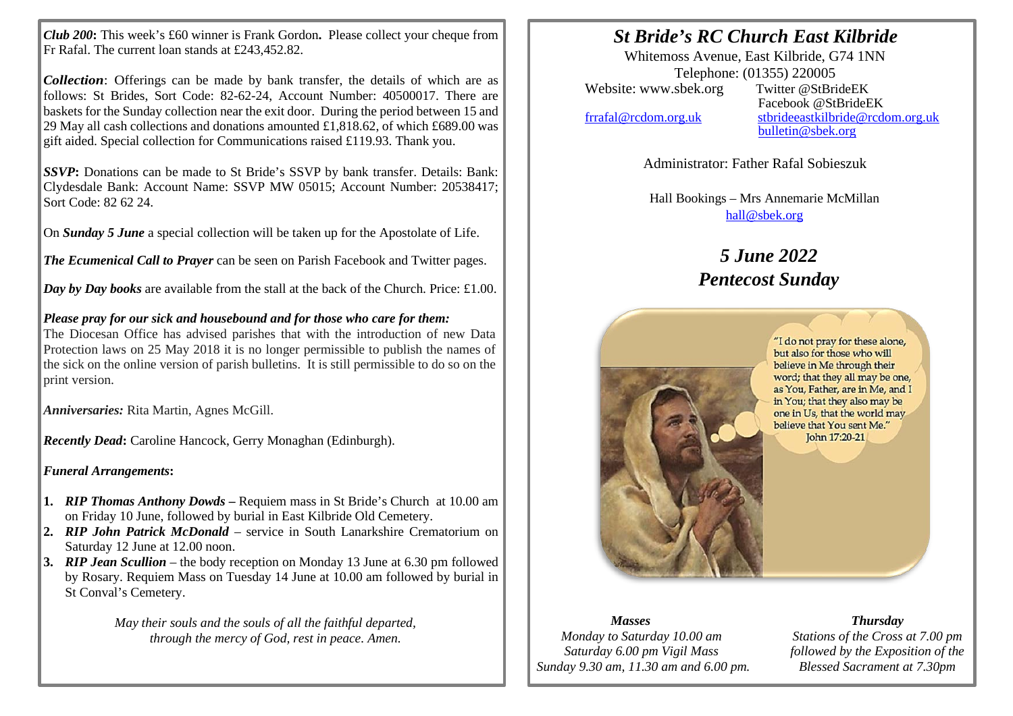*Club 200***:** This week's £60 winner is Frank Gordon**.** Please collect your cheque from Fr Rafal. The current loan stands at £243,452.82.

*Collection*: Offerings can be made by bank transfer, the details of which are as follows: St Brides, Sort Code: 82-62-24, Account Number: 40500017. There are baskets for the Sunday collection near the exit door. During the period between 15 and 29 May all cash collections and donations amounted £1,818.62, of which £689.00 was gift aided. Special collection for Communications raised £119.93. Thank you.

*SSVP***:** Donations can be made to St Bride's SSVP by bank transfer. Details: Bank: Clydesdale Bank: Account Name: SSVP MW 05015; Account Number: 20538417; Sort Code: 82 62 24.

On *Sunday 5 June* a special collection will be taken up for the Apostolate of Life.

*The Ecumenical Call to Prayer* can be seen on Parish Facebook and Twitter pages.

*Day by Day books* are available from the stall at the back of the Church. Price: £1.00.

## *Please pray for our sick and housebound and for those who care for them:*

The Diocesan Office has advised parishes that with the introduction of new Data Protection laws on 25 May 2018 it is no longer permissible to publish the names of the sick on the online version of parish bulletins. It is still permissible to do so on the print version.

*Anniversaries:* Rita Martin, Agnes McGill.

*Recently Dead***:** Caroline Hancock, Gerry Monaghan (Edinburgh).

*Funeral Arrangements***:**

- **1.** *RIP Thomas Anthony Dowds* **–** Requiem mass in St Bride's Church at 10.00 am on Friday 10 June, followed by burial in East Kilbride Old Cemetery.
- **2.** *RIP John Patrick McDonald* service in South Lanarkshire Crematorium on Saturday 12 June at 12.00 noon.
- **3.** *RIP Jean Scullion* the body reception on Monday 13 June at 6.30 pm followed by Rosary. Requiem Mass on Tuesday 14 June at 10.00 am followed by burial in St Conval's Cemetery.

*May their souls and the souls of all the faithful departed, through the mercy of God, rest in peace. Amen.*

## *St Bride's RC Church East Kilbride*

Whitemoss Avenue, East Kilbride, G74 1NN Telephone: (01355) 220005<br>
sbek.org Twitter @StBrideEK Website: www.sbek.org

I I

> Facebook @StBrideEK [frrafal@rcdom.org.uk](mailto:frrafal@rcdom.org.uk) [stbrideeastkilbride@rcdom.org.uk](mailto:stbrideeastkilbride@rcdom.org.uk)  [bulletin@sbek.org](mailto:bulletin@sbek.org)

> > Administrator: Father Rafal Sobieszuk

Hall Bookings – Mrs Annemarie McMillan [hall@sbek.org](mailto:hall@sbek.org)

## *5 June 2022 Pentecost Sunday*



## *Masses*

*Monday to Saturday 10.00 am Saturday 6.00 pm Vigil Mass Sunday 9.30 am, 11.30 am and 6.00 pm.*

*Thursday Stations of the Cross at 7.00 pm followed by the Exposition of the Blessed Sacrament at 7.30pm*